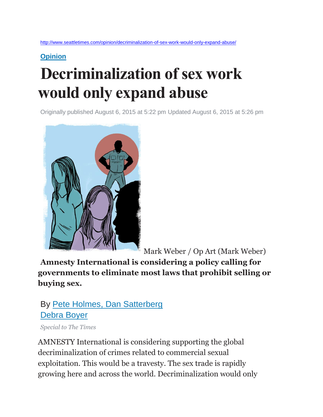#### **[Opinion](http://www.seattletimes.com/opinion/)**

# **Decriminalization of sex work would only expand abuse**

Originally published August 6, 2015 at 5:22 pm Updated August 6, 2015 at 5:26 pm



Mark Weber / Op Art (Mark Weber)

**Amnesty International is considering a policy calling for governments to eliminate most laws that prohibit selling or buying sex.**

### By [Pete Holmes, Dan Satterberg](http://www.seattletimes.com/author/pete-holmes-dan-satterberg/) [Debra Boyer](http://www.seattletimes.com/author/cap-debra-boyer/)

*Special to The Times*

AMNESTY International is considering supporting the global decriminalization of crimes related to commercial sexual exploitation. This would be a travesty. The sex trade is rapidly growing here and across the world. Decriminalization would only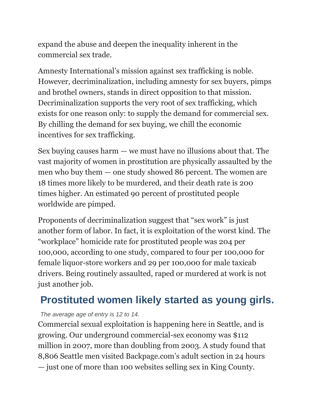expand the abuse and deepen the inequality inherent in the commercial sex trade.

Amnesty International's mission against sex trafficking is noble. However, decriminalization, including amnesty for sex buyers, pimps and brothel owners, stands in direct opposition to that mission. Decriminalization supports the very root of sex trafficking, which exists for one reason only: to supply the demand for commercial sex. By chilling the demand for sex buying, we chill the economic incentives for sex trafficking.

Sex buying causes harm — we must have no illusions about that. The vast majority of women in prostitution are physically assaulted by the men who buy them — one study showed 86 percent. The women are 18 times more likely to be murdered, and their death rate is 200 times higher. An estimated 90 percent of prostituted people worldwide are pimped.

Proponents of decriminalization suggest that "sex work" is just another form of labor. In fact, it is exploitation of the worst kind. The "workplace" homicide rate for prostituted people was 204 per 100,000, according to one study, compared to four per 100,000 for female liquor-store workers and 29 per 100,000 for male taxicab drivers. Being routinely assaulted, raped or murdered at work is not just another job.

## **Prostituted women likely started as young girls.**

#### *The average age of entry is 12 to 14.*

Commercial sexual exploitation is happening here in Seattle, and is growing. Our underground commercial-sex economy was \$112 million in 2007, more than doubling from 2003. A study found that 8,806 Seattle men visited Backpage.com's adult section in 24 hours — just one of more than 100 websites selling sex in King County.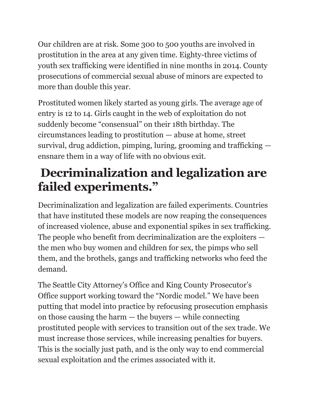Our children are at risk. Some 300 to 500 youths are involved in prostitution in the area at any given time. Eighty-three victims of youth sex trafficking were identified in nine months in 2014. County prosecutions of commercial sexual abuse of minors are expected to more than double this year.

Prostituted women likely started as young girls. The average age of entry is 12 to 14. Girls caught in the web of exploitation do not suddenly become "consensual" on their 18th birthday. The circumstances leading to prostitution — abuse at home, street survival, drug addiction, pimping, luring, grooming and trafficking ensnare them in a way of life with no obvious exit.

## **Decriminalization and legalization are failed experiments."**

Decriminalization and legalization are failed experiments. Countries that have instituted these models are now reaping the consequences of increased violence, abuse and exponential spikes in sex trafficking. The people who benefit from decriminalization are the exploiters the men who buy women and children for sex, the pimps who sell them, and the brothels, gangs and trafficking networks who feed the demand.

The Seattle City Attorney's Office and King County Prosecutor's Office support working toward the "Nordic model." We have been putting that model into practice by refocusing prosecution emphasis on those causing the harm — the buyers — while connecting prostituted people with services to transition out of the sex trade. We must increase those services, while increasing penalties for buyers. This is the socially just path, and is the only way to end commercial sexual exploitation and the crimes associated with it.